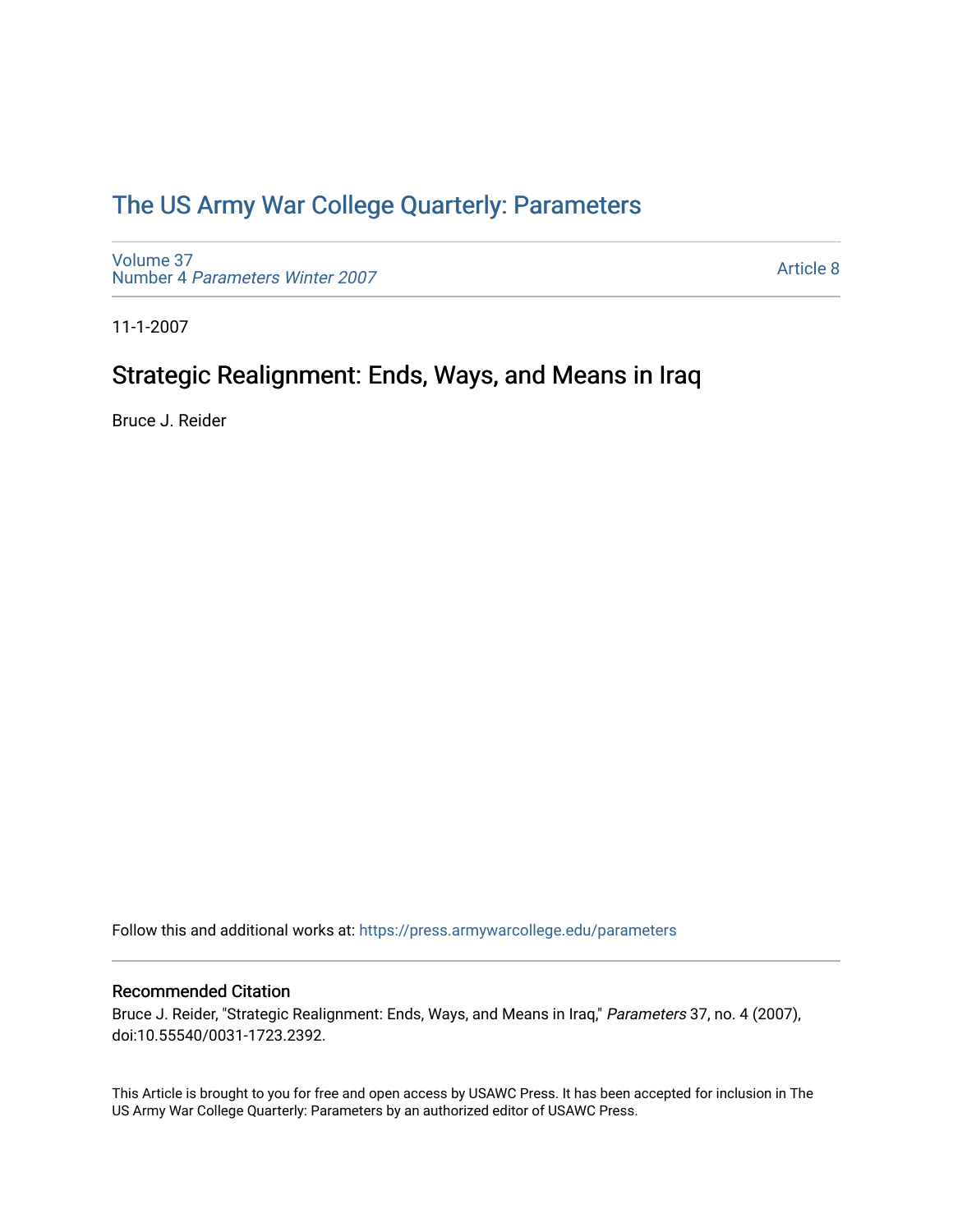# [The US Army War College Quarterly: Parameters](https://press.armywarcollege.edu/parameters)

[Volume 37](https://press.armywarcollege.edu/parameters/vol37) Number 4 [Parameters Winter 2007](https://press.armywarcollege.edu/parameters/vol37/iss4)

[Article 8](https://press.armywarcollege.edu/parameters/vol37/iss4/8) 

11-1-2007

# Strategic Realignment: Ends, Ways, and Means in Iraq

Bruce J. Reider

Follow this and additional works at: [https://press.armywarcollege.edu/parameters](https://press.armywarcollege.edu/parameters?utm_source=press.armywarcollege.edu%2Fparameters%2Fvol37%2Fiss4%2F8&utm_medium=PDF&utm_campaign=PDFCoverPages) 

## Recommended Citation

Bruce J. Reider, "Strategic Realignment: Ends, Ways, and Means in Iraq," Parameters 37, no. 4 (2007), doi:10.55540/0031-1723.2392.

This Article is brought to you for free and open access by USAWC Press. It has been accepted for inclusion in The US Army War College Quarterly: Parameters by an authorized editor of USAWC Press.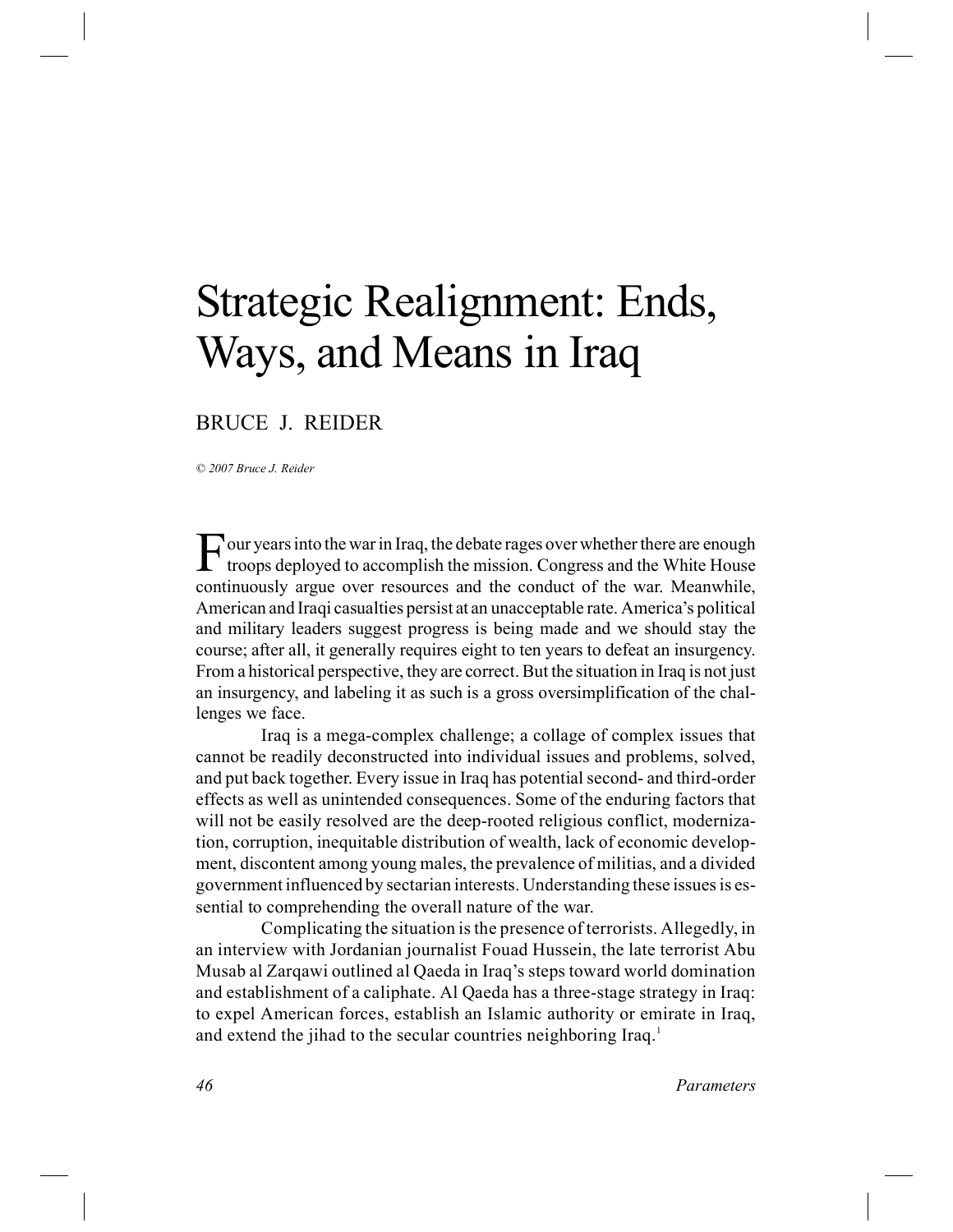# Strategic Realignment: Ends, Ways, and Means in Iraq

# BRUCE J. REIDER

*© 2007 Bruce J. Reider*

F our years into the war in Iraq, the debate rages over whether there are enough troops deployed to accomplish the mission. Congress and the White House troops deployed to accomplish the mission. Congress and the White House continuously argue over resources and the conduct of the war. Meanwhile, American and Iraqi casualties persist at an unacceptable rate. America's political and military leaders suggest progress is being made and we should stay the course; after all, it generally requires eight to ten years to defeat an insurgency. From a historical perspective, they are correct. But the situation in Iraq is not just an insurgency, and labeling it as such is a gross oversimplification of the challenges we face.

Iraq is a mega-complex challenge; a collage of complex issues that cannot be readily deconstructed into individual issues and problems, solved, and put back together. Every issue in Iraq has potential second- and third-order effects as well as unintended consequences. Some of the enduring factors that will not be easily resolved are the deep-rooted religious conflict, modernization, corruption, inequitable distribution of wealth, lack of economic development, discontent among young males, the prevalence of militias, and a divided government influenced by sectarian interests. Understanding these issues is essential to comprehending the overall nature of the war.

Complicating the situation is the presence of terrorists. Allegedly, in an interview with Jordanian journalist Fouad Hussein, the late terrorist Abu Musab al Zarqawi outlined al Qaeda in Iraq's steps toward world domination and establishment of a caliphate. Al Qaeda has a three-stage strategy in Iraq: to expel American forces, establish an Islamic authority or emirate in Iraq, and extend the jihad to the secular countries neighboring Iraq.<sup>1</sup>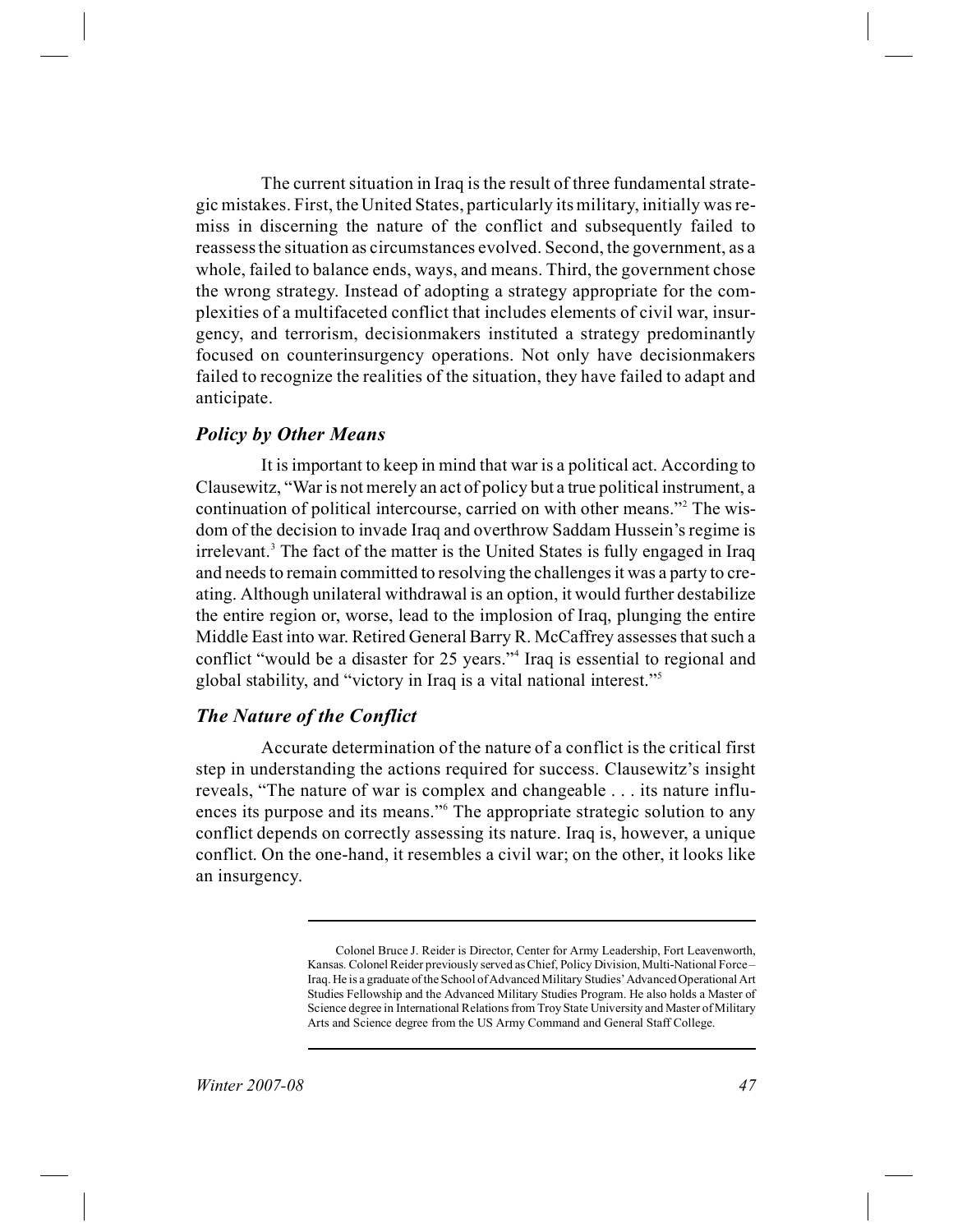The current situation in Iraq is the result of three fundamental strategic mistakes. First, the United States, particularly its military, initially was remiss in discerning the nature of the conflict and subsequently failed to reassess the situation as circumstances evolved. Second, the government, as a whole, failed to balance ends, ways, and means. Third, the government chose the wrong strategy. Instead of adopting a strategy appropriate for the complexities of a multifaceted conflict that includes elements of civil war, insurgency, and terrorism, decisionmakers instituted a strategy predominantly focused on counterinsurgency operations. Not only have decisionmakers failed to recognize the realities of the situation, they have failed to adapt and anticipate.

## *Policy by Other Means*

It is important to keep in mind that war is a political act. According to Clausewitz, "War is not merely an act of policy but a true political instrument, a continuation of political intercourse, carried on with other means."<sup>2</sup> The wisdom of the decision to invade Iraq and overthrow Saddam Hussein's regime is irrelevant.<sup>3</sup> The fact of the matter is the United States is fully engaged in Iraq and needs to remain committed to resolving the challenges it was a party to creating. Although unilateral withdrawal is an option, it would further destabilize the entire region or, worse, lead to the implosion of Iraq, plunging the entire Middle East into war. Retired General Barry R. McCaffrey assesses that such a conflict "would be a disaster for 25 years."<sup>4</sup> Iraq is essential to regional and global stability, and "victory in Iraq is a vital national interest."<sup>5</sup>

# *The Nature of the Conflict*

Accurate determination of the nature of a conflict is the critical first step in understanding the actions required for success. Clausewitz's insight reveals, "The nature of war is complex and changeable . . . its nature influences its purpose and its means."<sup>6</sup> The appropriate strategic solution to any conflict depends on correctly assessing its nature. Iraq is, however, a unique conflict. On the one-hand, it resembles a civil war; on the other, it looks like an insurgency.

Colonel Bruce J. Reider is Director, Center for Army Leadership, Fort Leavenworth, Kansas. Colonel Reider previously served as Chief, Policy Division, Multi-National Force – Iraq. He is a graduate of the School of Advanced Military Studies' Advanced Operational Art Studies Fellowship and the Advanced Military Studies Program. He also holds a Master of Science degree in International Relations from Troy State University and Master of Military Arts and Science degree from the US Army Command and General Staff College.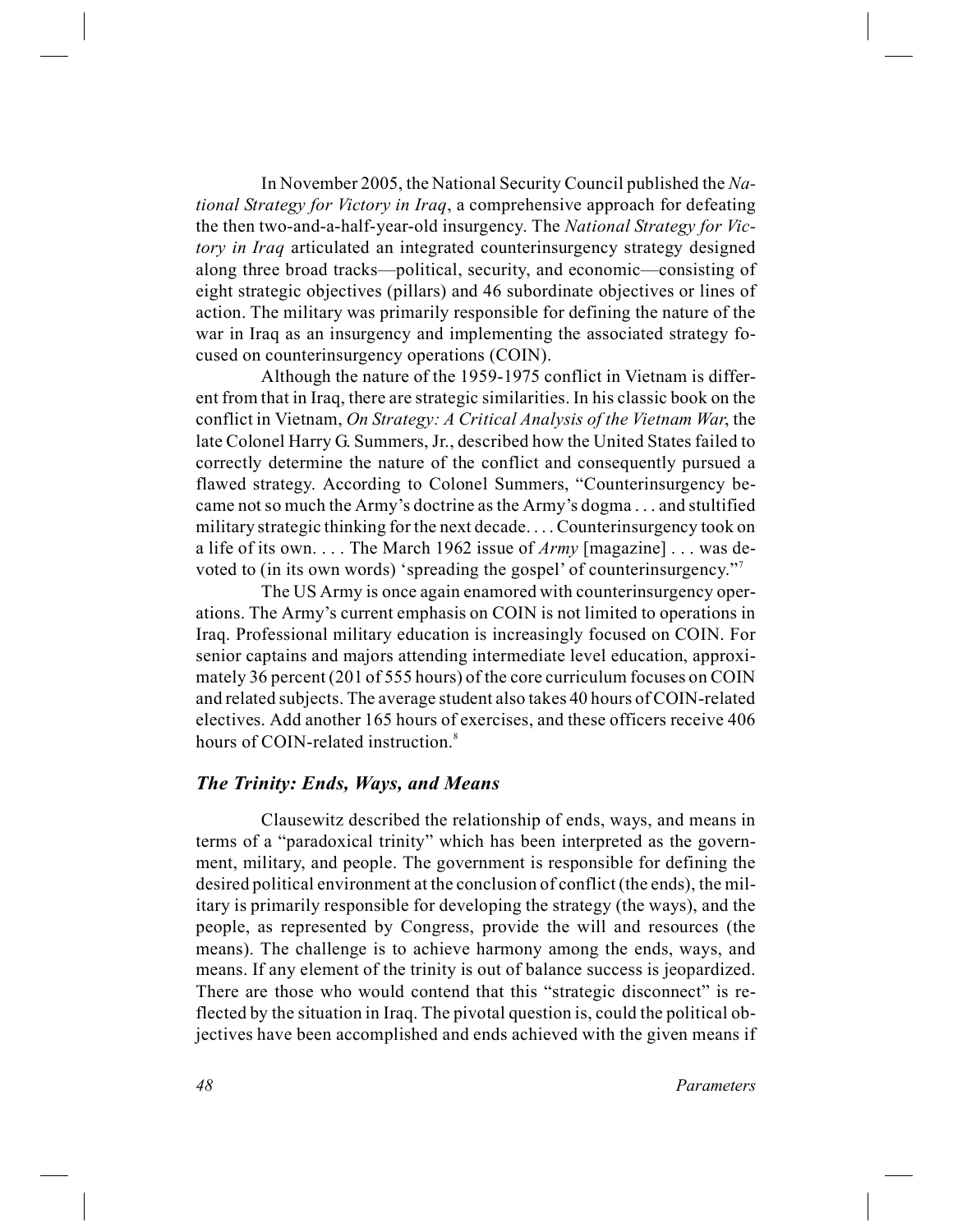In November 2005, the National Security Council published the *National Strategy for Victory in Iraq*, a comprehensive approach for defeating the then two-and-a-half-year-old insurgency. The *National Strategy for Victory in Iraq* articulated an integrated counterinsurgency strategy designed along three broad tracks—political, security, and economic—consisting of eight strategic objectives (pillars) and 46 subordinate objectives or lines of action. The military was primarily responsible for defining the nature of the war in Iraq as an insurgency and implementing the associated strategy focused on counterinsurgency operations (COIN).

Although the nature of the 1959-1975 conflict in Vietnam is different from that in Iraq, there are strategic similarities. In his classic book on the conflict in Vietnam, *On Strategy: A Critical Analysis of the Vietnam War*, the late Colonel Harry G. Summers, Jr., described how the United States failed to correctly determine the nature of the conflict and consequently pursued a flawed strategy. According to Colonel Summers, "Counterinsurgency became not so much the Army's doctrine as the Army's dogma . . . and stultified military strategic thinking for the next decade. . . . Counterinsurgency took on a life of its own. . . . The March 1962 issue of *Army* [magazine] . . . was devoted to (in its own words) 'spreading the gospel' of counterinsurgency."<sup>7</sup>

The US Army is once again enamored with counterinsurgency operations. The Army's current emphasis on COIN is not limited to operations in Iraq. Professional military education is increasingly focused on COIN. For senior captains and majors attending intermediate level education, approximately 36 percent (201 of 555 hours) of the core curriculum focuses on COIN and related subjects. The average student also takes 40 hours of COIN-related electives. Add another 165 hours of exercises, and these officers receive 406 hours of COIN-related instruction.<sup>8</sup>

#### *The Trinity: Ends, Ways, and Means*

Clausewitz described the relationship of ends, ways, and means in terms of a "paradoxical trinity" which has been interpreted as the government, military, and people. The government is responsible for defining the desired political environment at the conclusion of conflict (the ends), the military is primarily responsible for developing the strategy (the ways), and the people, as represented by Congress, provide the will and resources (the means). The challenge is to achieve harmony among the ends, ways, and means. If any element of the trinity is out of balance success is jeopardized. There are those who would contend that this "strategic disconnect" is reflected by the situation in Iraq. The pivotal question is, could the political objectives have been accomplished and ends achieved with the given means if

*48 Parameters*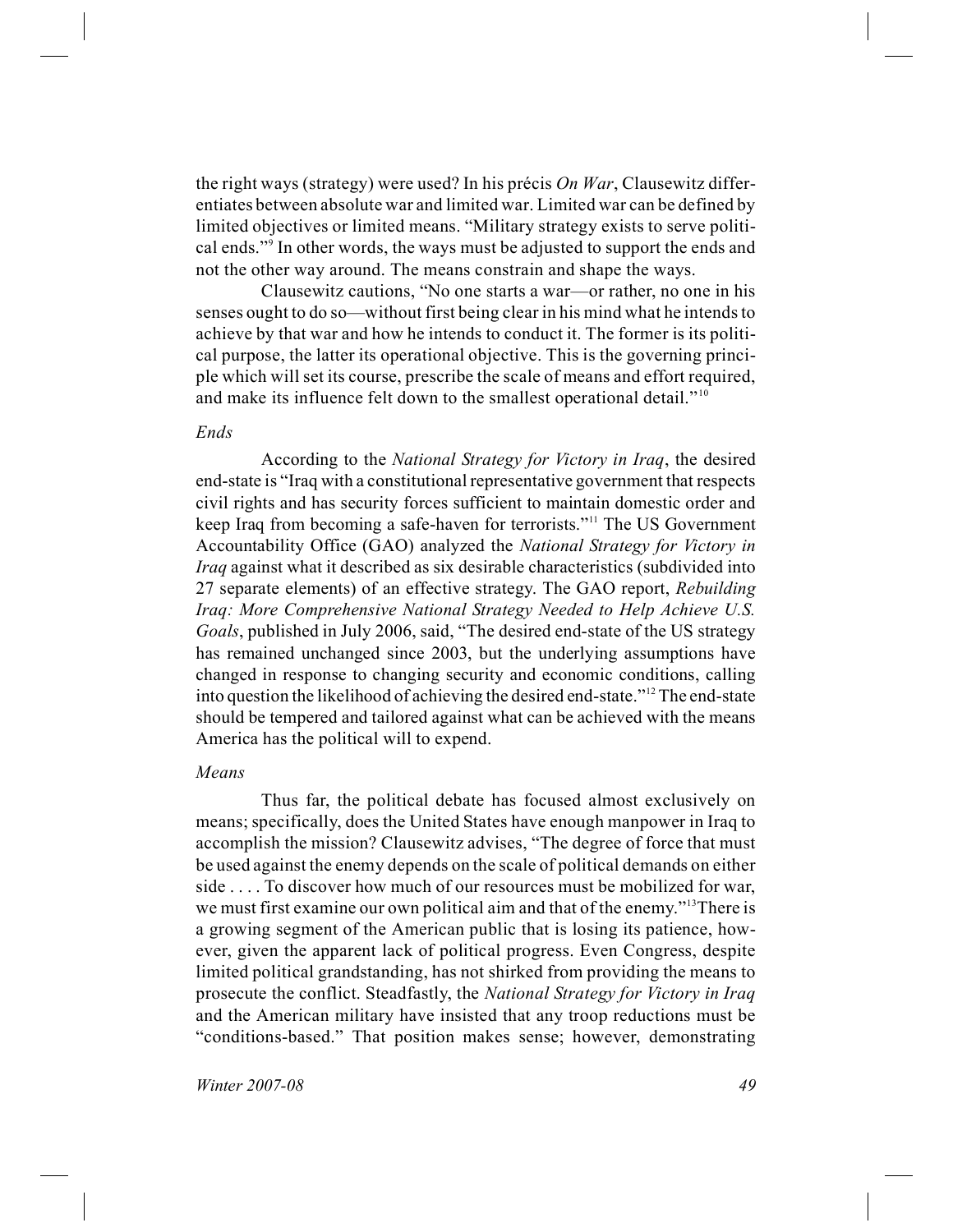the right ways (strategy) were used? In his précis *On War*, Clausewitz differentiates between absolute war and limited war. Limited war can be defined by limited objectives or limited means. "Military strategy exists to serve political ends."<sup>9</sup> In other words, the ways must be adjusted to support the ends and not the other way around. The means constrain and shape the ways.

Clausewitz cautions, "No one starts a war—or rather, no one in his senses ought to do so—without first being clear in his mind what he intends to achieve by that war and how he intends to conduct it. The former is its political purpose, the latter its operational objective. This is the governing principle which will set its course, prescribe the scale of means and effort required, and make its influence felt down to the smallest operational detail."<sup>10</sup>

#### *Ends*

According to the *National Strategy for Victory in Iraq*, the desired end-state is "Iraq with a constitutional representative government that respects civil rights and has security forces sufficient to maintain domestic order and keep Iraq from becoming a safe-haven for terrorists."<sup>11</sup> The US Government Accountability Office (GAO) analyzed the *National Strategy for Victory in Iraq* against what it described as six desirable characteristics (subdivided into 27 separate elements) of an effective strategy. The GAO report, *Rebuilding Iraq: More Comprehensive National Strategy Needed to Help Achieve U.S. Goals*, published in July 2006, said, "The desired end-state of the US strategy has remained unchanged since 2003, but the underlying assumptions have changed in response to changing security and economic conditions, calling into question the likelihood of achieving the desired end-state."<sup>12</sup> The end-state should be tempered and tailored against what can be achieved with the means America has the political will to expend.

#### *Means*

Thus far, the political debate has focused almost exclusively on means; specifically, does the United States have enough manpower in Iraq to accomplish the mission? Clausewitz advises, "The degree of force that must be used against the enemy depends on the scale of political demands on either side . . . . To discover how much of our resources must be mobilized for war, we must first examine our own political aim and that of the enemy."<sup>13</sup>There is a growing segment of the American public that is losing its patience, however, given the apparent lack of political progress. Even Congress, despite limited political grandstanding, has not shirked from providing the means to prosecute the conflict. Steadfastly, the *National Strategy for Victory in Iraq* and the American military have insisted that any troop reductions must be "conditions-based." That position makes sense; however, demonstrating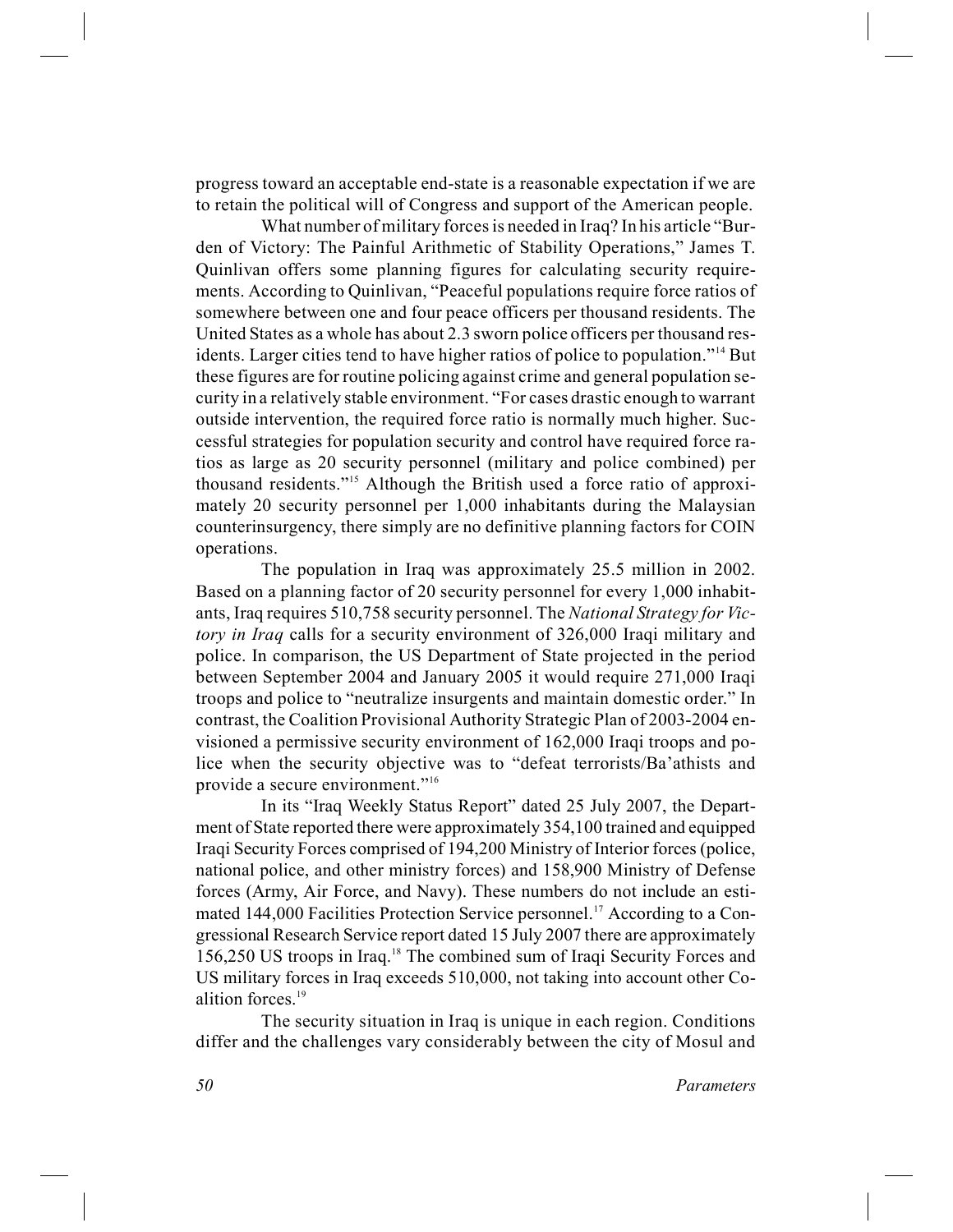progress toward an acceptable end-state is a reasonable expectation if we are to retain the political will of Congress and support of the American people.

What number of military forces is needed in Iraq? In his article "Burden of Victory: The Painful Arithmetic of Stability Operations," James T. Quinlivan offers some planning figures for calculating security requirements. According to Quinlivan, "Peaceful populations require force ratios of somewhere between one and four peace officers per thousand residents. The United States as a whole has about 2.3 sworn police officers per thousand residents. Larger cities tend to have higher ratios of police to population."<sup>14</sup> But these figures are for routine policing against crime and general population security in a relatively stable environment. "For cases drastic enough to warrant outside intervention, the required force ratio is normally much higher. Successful strategies for population security and control have required force ratios as large as 20 security personnel (military and police combined) per thousand residents."<sup>15</sup> Although the British used a force ratio of approximately 20 security personnel per 1,000 inhabitants during the Malaysian counterinsurgency, there simply are no definitive planning factors for COIN operations.

The population in Iraq was approximately 25.5 million in 2002. Based on a planning factor of 20 security personnel for every 1,000 inhabitants, Iraq requires 510,758 security personnel. The *National Strategy for Victory in Iraq* calls for a security environment of 326,000 Iraqi military and police. In comparison, the US Department of State projected in the period between September 2004 and January 2005 it would require 271,000 Iraqi troops and police to "neutralize insurgents and maintain domestic order." In contrast, the Coalition Provisional Authority Strategic Plan of 2003-2004 envisioned a permissive security environment of 162,000 Iraqi troops and police when the security objective was to "defeat terrorists/Ba'athists and provide a secure environment."<sup>16</sup>

In its "Iraq Weekly Status Report" dated 25 July 2007, the Department of State reported there were approximately 354,100 trained and equipped Iraqi Security Forces comprised of 194,200 Ministry of Interior forces (police, national police, and other ministry forces) and 158,900 Ministry of Defense forces (Army, Air Force, and Navy). These numbers do not include an estimated 144,000 Facilities Protection Service personnel.<sup>17</sup> According to a Congressional Research Service report dated 15 July 2007 there are approximately 156,250 US troops in Iraq.<sup>18</sup> The combined sum of Iraqi Security Forces and US military forces in Iraq exceeds 510,000, not taking into account other Coalition forces.<sup>19</sup>

The security situation in Iraq is unique in each region. Conditions differ and the challenges vary considerably between the city of Mosul and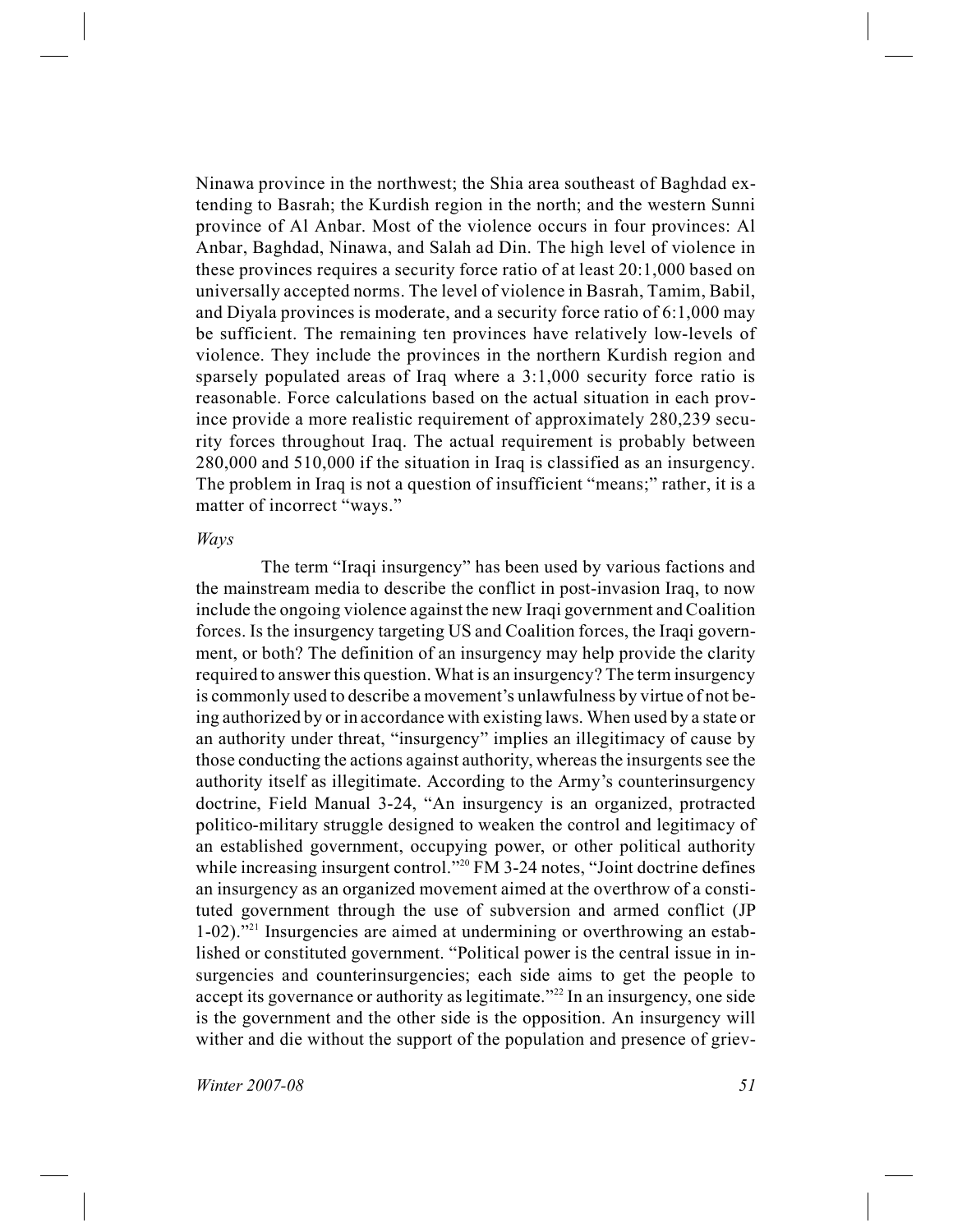Ninawa province in the northwest; the Shia area southeast of Baghdad extending to Basrah; the Kurdish region in the north; and the western Sunni province of Al Anbar. Most of the violence occurs in four provinces: Al Anbar, Baghdad, Ninawa, and Salah ad Din. The high level of violence in these provinces requires a security force ratio of at least 20:1,000 based on universally accepted norms. The level of violence in Basrah, Tamim, Babil, and Diyala provinces is moderate, and a security force ratio of 6:1,000 may be sufficient. The remaining ten provinces have relatively low-levels of violence. They include the provinces in the northern Kurdish region and sparsely populated areas of Iraq where a 3:1,000 security force ratio is reasonable. Force calculations based on the actual situation in each province provide a more realistic requirement of approximately 280,239 security forces throughout Iraq. The actual requirement is probably between 280,000 and 510,000 if the situation in Iraq is classified as an insurgency. The problem in Iraq is not a question of insufficient "means;" rather, it is a matter of incorrect "ways."

#### *Ways*

The term "Iraqi insurgency" has been used by various factions and the mainstream media to describe the conflict in post-invasion Iraq, to now include the ongoing violence against the new Iraqi government and Coalition forces. Is the insurgency targeting US and Coalition forces, the Iraqi government, or both? The definition of an insurgency may help provide the clarity required to answer this question. What is an insurgency? The term insurgency is commonly used to describe a movement's unlawfulness by virtue of not being authorized by or in accordance with existing laws. When used by a state or an authority under threat, "insurgency" implies an illegitimacy of cause by those conducting the actions against authority, whereas the insurgents see the authority itself as illegitimate. According to the Army's counterinsurgency doctrine, Field Manual 3-24, "An insurgency is an organized, protracted politico-military struggle designed to weaken the control and legitimacy of an established government, occupying power, or other political authority while increasing insurgent control."<sup>20</sup> FM 3-24 notes, "Joint doctrine defines an insurgency as an organized movement aimed at the overthrow of a constituted government through the use of subversion and armed conflict (JP 1-02)."<sup>21</sup> Insurgencies are aimed at undermining or overthrowing an established or constituted government. "Political power is the central issue in insurgencies and counterinsurgencies; each side aims to get the people to accept its governance or authority as legitimate."<sup>22</sup> In an insurgency, one side is the government and the other side is the opposition. An insurgency will wither and die without the support of the population and presence of griev-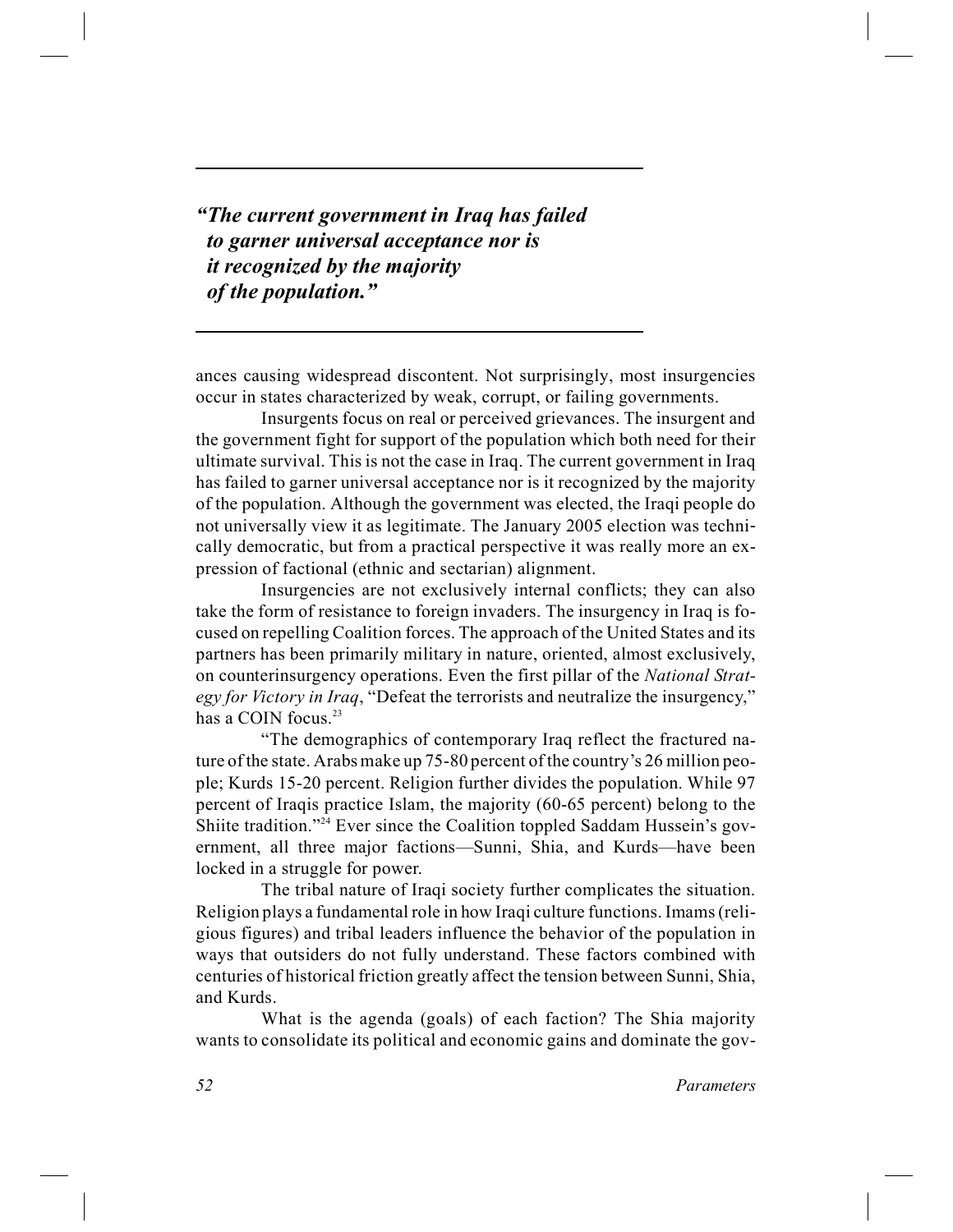*"The current government in Iraq has failed to garner universal acceptance nor is it recognized by the majority of the population."*

ances causing widespread discontent. Not surprisingly, most insurgencies occur in states characterized by weak, corrupt, or failing governments.

Insurgents focus on real or perceived grievances. The insurgent and the government fight for support of the population which both need for their ultimate survival. This is not the case in Iraq. The current government in Iraq has failed to garner universal acceptance nor is it recognized by the majority of the population. Although the government was elected, the Iraqi people do not universally view it as legitimate. The January 2005 election was technically democratic, but from a practical perspective it was really more an expression of factional (ethnic and sectarian) alignment.

Insurgencies are not exclusively internal conflicts; they can also take the form of resistance to foreign invaders. The insurgency in Iraq is focused on repelling Coalition forces. The approach of the United States and its partners has been primarily military in nature, oriented, almost exclusively, on counterinsurgency operations. Even the first pillar of the *National Strategy for Victory in Iraq*, "Defeat the terrorists and neutralize the insurgency," has a COIN focus.<sup>23</sup>

"The demographics of contemporary Iraq reflect the fractured nature of the state. Arabs make up 75-80 percent of the country's 26 million people; Kurds 15-20 percent. Religion further divides the population. While 97 percent of Iraqis practice Islam, the majority (60-65 percent) belong to the Shiite tradition."<sup>24</sup> Ever since the Coalition toppled Saddam Hussein's government, all three major factions—Sunni, Shia, and Kurds—have been locked in a struggle for power.

The tribal nature of Iraqi society further complicates the situation. Religion plays a fundamental role in how Iraqi culture functions. Imams (religious figures) and tribal leaders influence the behavior of the population in ways that outsiders do not fully understand. These factors combined with centuries of historical friction greatly affect the tension between Sunni, Shia, and Kurds.

What is the agenda (goals) of each faction? The Shia majority wants to consolidate its political and economic gains and dominate the gov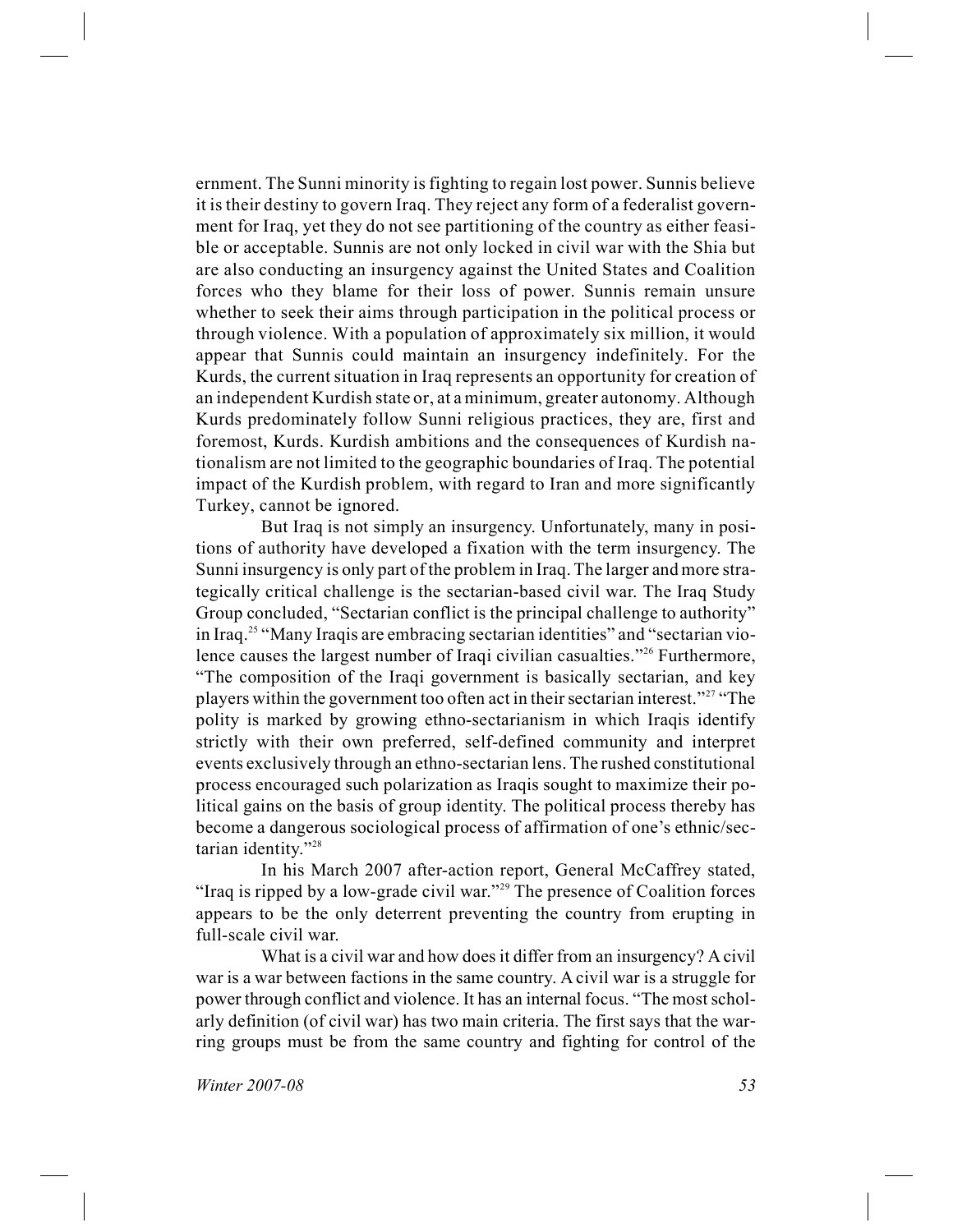ernment. The Sunni minority is fighting to regain lost power. Sunnis believe it is their destiny to govern Iraq. They reject any form of a federalist government for Iraq, yet they do not see partitioning of the country as either feasible or acceptable. Sunnis are not only locked in civil war with the Shia but are also conducting an insurgency against the United States and Coalition forces who they blame for their loss of power. Sunnis remain unsure whether to seek their aims through participation in the political process or through violence. With a population of approximately six million, it would appear that Sunnis could maintain an insurgency indefinitely. For the Kurds, the current situation in Iraq represents an opportunity for creation of an independent Kurdish state or, at a minimum, greater autonomy. Although Kurds predominately follow Sunni religious practices, they are, first and foremost, Kurds. Kurdish ambitions and the consequences of Kurdish nationalism are not limited to the geographic boundaries of Iraq. The potential impact of the Kurdish problem, with regard to Iran and more significantly Turkey, cannot be ignored.

But Iraq is not simply an insurgency. Unfortunately, many in positions of authority have developed a fixation with the term insurgency. The Sunni insurgency is only part of the problem in Iraq. The larger and more strategically critical challenge is the sectarian-based civil war. The Iraq Study Group concluded, "Sectarian conflict is the principal challenge to authority" in Iraq.<sup>25</sup> "Many Iraqis are embracing sectarian identities" and "sectarian violence causes the largest number of Iraqi civilian casualties."<sup>26</sup> Furthermore, "The composition of the Iraqi government is basically sectarian, and key players within the government too often act in their sectarian interest."<sup>27</sup> "The polity is marked by growing ethno-sectarianism in which Iraqis identify strictly with their own preferred, self-defined community and interpret events exclusively through an ethno-sectarian lens. The rushed constitutional process encouraged such polarization as Iraqis sought to maximize their political gains on the basis of group identity. The political process thereby has become a dangerous sociological process of affirmation of one's ethnic/sectarian identity."<sup>28</sup>

In his March 2007 after-action report, General McCaffrey stated, "Iraq is ripped by a low-grade civil war."<sup>29</sup> The presence of Coalition forces appears to be the only deterrent preventing the country from erupting in full-scale civil war.

What is a civil war and how does it differ from an insurgency? A civil war is a war between factions in the same country. A civil war is a struggle for power through conflict and violence. It has an internal focus. "The most scholarly definition (of civil war) has two main criteria. The first says that the warring groups must be from the same country and fighting for control of the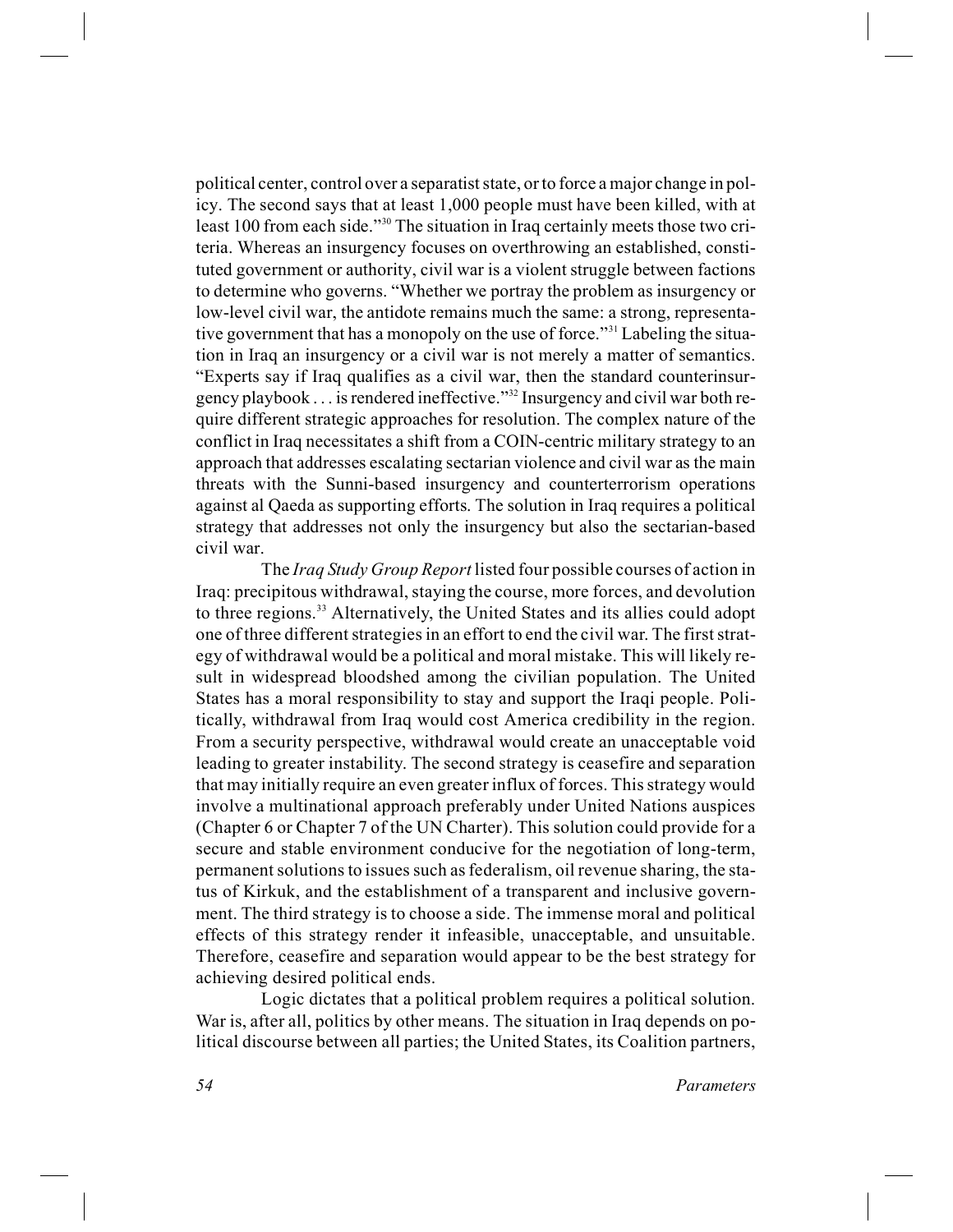political center, control over a separatist state, or to force a major change in policy. The second says that at least 1,000 people must have been killed, with at least 100 from each side."<sup>30</sup> The situation in Iraq certainly meets those two criteria. Whereas an insurgency focuses on overthrowing an established, constituted government or authority, civil war is a violent struggle between factions to determine who governs. "Whether we portray the problem as insurgency or low-level civil war, the antidote remains much the same: a strong, representative government that has a monopoly on the use of force."<sup>31</sup> Labeling the situation in Iraq an insurgency or a civil war is not merely a matter of semantics. "Experts say if Iraq qualifies as a civil war, then the standard counterinsurgency playbook . . . is rendered ineffective."<sup>32</sup> Insurgency and civil war both require different strategic approaches for resolution. The complex nature of the conflict in Iraq necessitates a shift from a COIN-centric military strategy to an approach that addresses escalating sectarian violence and civil war as the main threats with the Sunni-based insurgency and counterterrorism operations against al Qaeda as supporting efforts. The solution in Iraq requires a political strategy that addresses not only the insurgency but also the sectarian-based civil war.

The *Iraq Study Group Report* listed four possible courses of action in Iraq: precipitous withdrawal, staying the course, more forces, and devolution to three regions.<sup>33</sup> Alternatively, the United States and its allies could adopt one of three different strategies in an effort to end the civil war. The first strategy of withdrawal would be a political and moral mistake. This will likely result in widespread bloodshed among the civilian population. The United States has a moral responsibility to stay and support the Iraqi people. Politically, withdrawal from Iraq would cost America credibility in the region. From a security perspective, withdrawal would create an unacceptable void leading to greater instability. The second strategy is ceasefire and separation that may initially require an even greater influx of forces. This strategy would involve a multinational approach preferably under United Nations auspices (Chapter 6 or Chapter 7 of the UN Charter). This solution could provide for a secure and stable environment conducive for the negotiation of long-term, permanent solutions to issues such as federalism, oil revenue sharing, the status of Kirkuk, and the establishment of a transparent and inclusive government. The third strategy is to choose a side. The immense moral and political effects of this strategy render it infeasible, unacceptable, and unsuitable. Therefore, ceasefire and separation would appear to be the best strategy for achieving desired political ends.

Logic dictates that a political problem requires a political solution. War is, after all, politics by other means. The situation in Iraq depends on political discourse between all parties; the United States, its Coalition partners,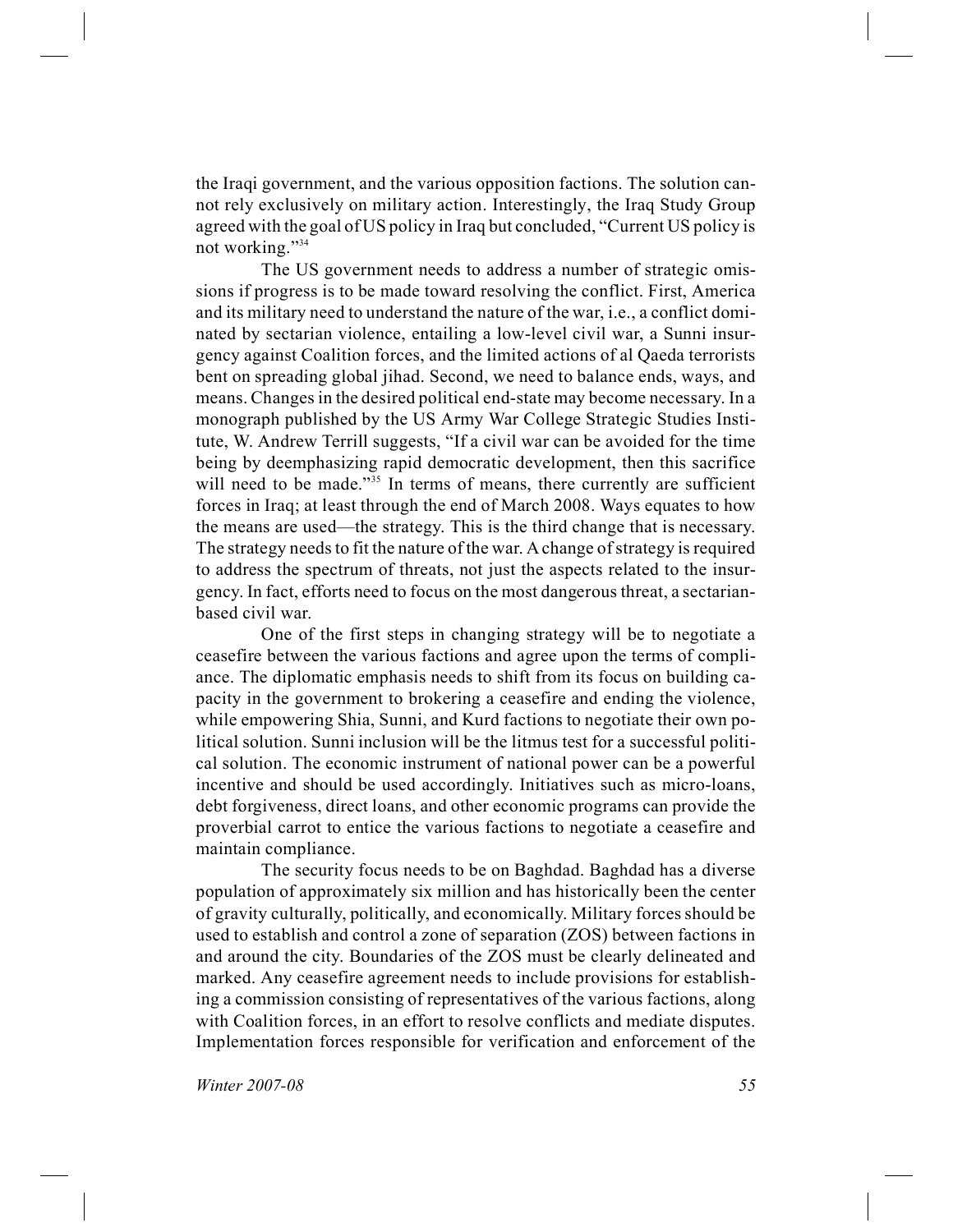the Iraqi government, and the various opposition factions. The solution cannot rely exclusively on military action. Interestingly, the Iraq Study Group agreed with the goal of US policy in Iraq but concluded, "Current US policy is not working."<sup>34</sup>

The US government needs to address a number of strategic omissions if progress is to be made toward resolving the conflict. First, America and its military need to understand the nature of the war, i.e., a conflict dominated by sectarian violence, entailing a low-level civil war, a Sunni insurgency against Coalition forces, and the limited actions of al Qaeda terrorists bent on spreading global jihad. Second, we need to balance ends, ways, and means. Changes in the desired political end-state may become necessary. In a monograph published by the US Army War College Strategic Studies Institute, W. Andrew Terrill suggests, "If a civil war can be avoided for the time being by deemphasizing rapid democratic development, then this sacrifice will need to be made."<sup>35</sup> In terms of means, there currently are sufficient forces in Iraq; at least through the end of March 2008. Ways equates to how the means are used—the strategy. This is the third change that is necessary. The strategy needs to fit the nature of the war. A change of strategy is required to address the spectrum of threats, not just the aspects related to the insurgency. In fact, efforts need to focus on the most dangerous threat, a sectarianbased civil war.

One of the first steps in changing strategy will be to negotiate a ceasefire between the various factions and agree upon the terms of compliance. The diplomatic emphasis needs to shift from its focus on building capacity in the government to brokering a ceasefire and ending the violence, while empowering Shia, Sunni, and Kurd factions to negotiate their own political solution. Sunni inclusion will be the litmus test for a successful political solution. The economic instrument of national power can be a powerful incentive and should be used accordingly. Initiatives such as micro-loans, debt forgiveness, direct loans, and other economic programs can provide the proverbial carrot to entice the various factions to negotiate a ceasefire and maintain compliance.

The security focus needs to be on Baghdad. Baghdad has a diverse population of approximately six million and has historically been the center of gravity culturally, politically, and economically. Military forces should be used to establish and control a zone of separation (ZOS) between factions in and around the city. Boundaries of the ZOS must be clearly delineated and marked. Any ceasefire agreement needs to include provisions for establishing a commission consisting of representatives of the various factions, along with Coalition forces, in an effort to resolve conflicts and mediate disputes. Implementation forces responsible for verification and enforcement of the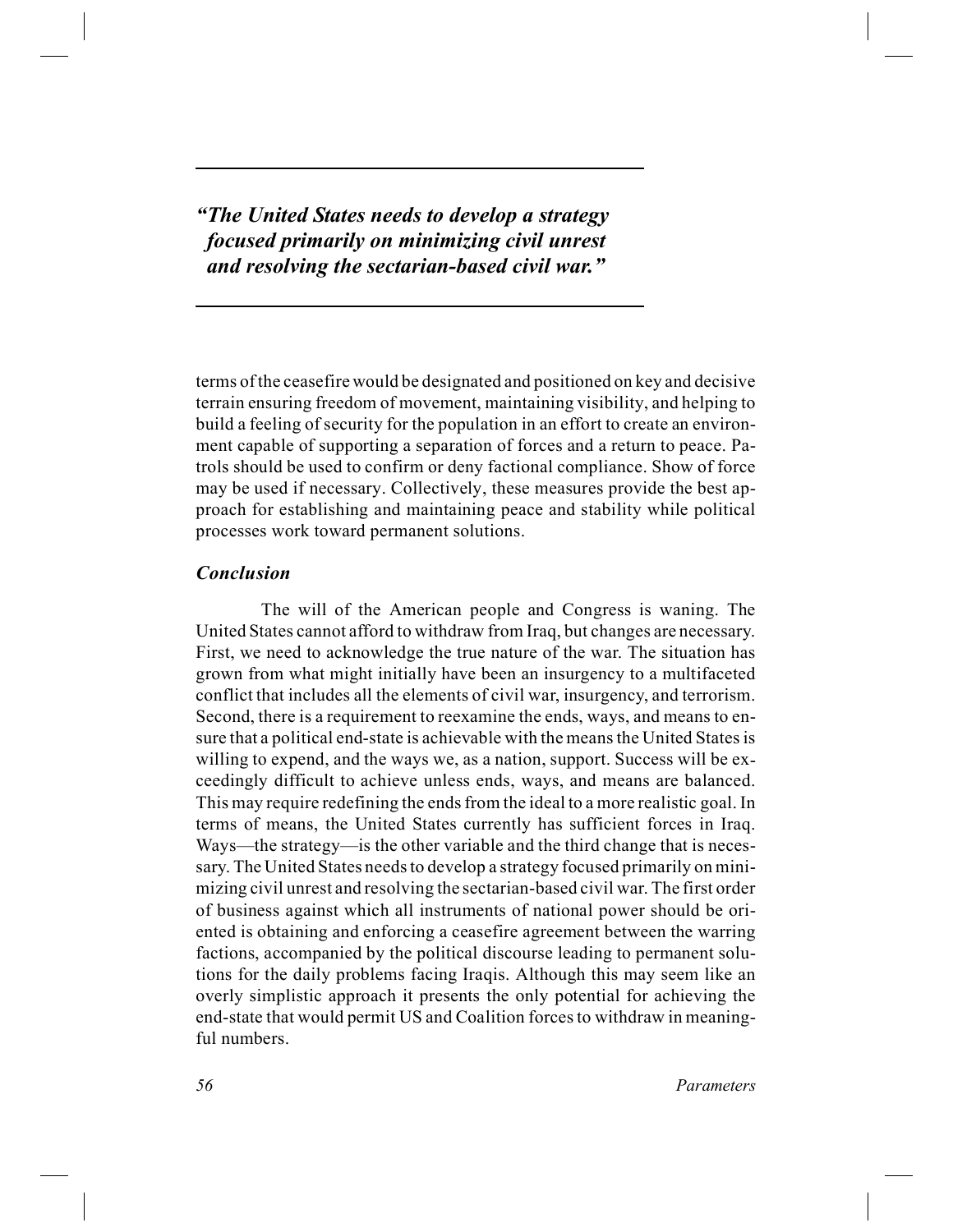*"The United States needs to develop a strategy focused primarily on minimizing civil unrest and resolving the sectarian-based civil war."*

terms of the ceasefire would be designated and positioned on key and decisive terrain ensuring freedom of movement, maintaining visibility, and helping to build a feeling of security for the population in an effort to create an environment capable of supporting a separation of forces and a return to peace. Patrols should be used to confirm or deny factional compliance. Show of force may be used if necessary. Collectively, these measures provide the best approach for establishing and maintaining peace and stability while political processes work toward permanent solutions.

## *Conclusion*

The will of the American people and Congress is waning. The United States cannot afford to withdraw from Iraq, but changes are necessary. First, we need to acknowledge the true nature of the war. The situation has grown from what might initially have been an insurgency to a multifaceted conflict that includes all the elements of civil war, insurgency, and terrorism. Second, there is a requirement to reexamine the ends, ways, and means to ensure that a political end-state is achievable with the means the United States is willing to expend, and the ways we, as a nation, support. Success will be exceedingly difficult to achieve unless ends, ways, and means are balanced. This may require redefining the ends from the ideal to a more realistic goal. In terms of means, the United States currently has sufficient forces in Iraq. Ways—the strategy—is the other variable and the third change that is necessary. The United States needs to develop a strategy focused primarily on minimizing civil unrest and resolving the sectarian-based civil war. The first order of business against which all instruments of national power should be oriented is obtaining and enforcing a ceasefire agreement between the warring factions, accompanied by the political discourse leading to permanent solutions for the daily problems facing Iraqis. Although this may seem like an overly simplistic approach it presents the only potential for achieving the end-state that would permit US and Coalition forces to withdraw in meaningful numbers.